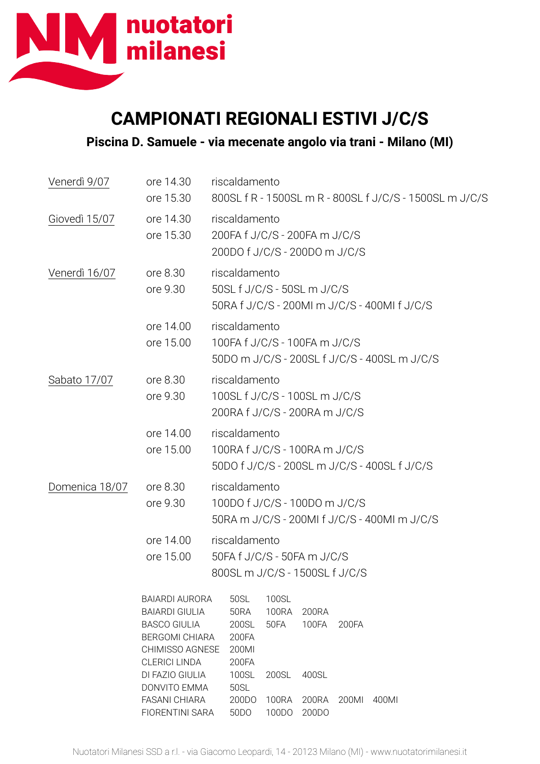

## **CAMPIONATI REGIONALI ESTIVI J/C/S**

**Piscina D. Samuele - via mecenate angolo via trani - Milano (MI)**

| Venerdì 9/07   | ore 14.30<br>ore 15.30                                                                                                                    | riscaldamento<br>800SL f R - 1500SL m R - 800SL f J/C/S - 1500SL m J/C/S                                            |  |  |  |  |  |
|----------------|-------------------------------------------------------------------------------------------------------------------------------------------|---------------------------------------------------------------------------------------------------------------------|--|--|--|--|--|
| Giovedì 15/07  | ore 14.30<br>ore 15.30                                                                                                                    | riscaldamento<br>200FA f J/C/S - 200FA m J/C/S<br>200DO f J/C/S - 200DO m J/C/S                                     |  |  |  |  |  |
| Venerdì 16/07  | ore 8.30<br>ore 9.30                                                                                                                      | riscaldamento<br>50SL f J/C/S - 50SL m J/C/S<br>50RA f J/C/S - 200MI m J/C/S - 400MI f J/C/S                        |  |  |  |  |  |
|                | ore 14.00<br>ore 15.00                                                                                                                    | riscaldamento<br>100FA f J/C/S - 100FA m J/C/S<br>50DO m J/C/S - 200SL f J/C/S - 400SL m J/C/S                      |  |  |  |  |  |
| Sabato 17/07   | ore 8.30<br>ore 9.30                                                                                                                      | riscaldamento<br>100SL f J/C/S - 100SL m J/C/S<br>200RA f J/C/S - 200RA m J/C/S                                     |  |  |  |  |  |
|                | ore 14.00<br>ore 15.00                                                                                                                    | riscaldamento<br>100RA f J/C/S - 100RA m J/C/S<br>50DO f J/C/S - 200SL m J/C/S - 400SL f J/C/S                      |  |  |  |  |  |
| Domenica 18/07 | ore 8.30<br>ore 9.30                                                                                                                      | riscaldamento<br>100DO f J/C/S - 100DO m J/C/S<br>50RA m J/C/S - 200MI f J/C/S - 400MI m J/C/S                      |  |  |  |  |  |
|                | ore 14.00<br>ore 15.00                                                                                                                    | riscaldamento<br>50FA f J/C/S - 50FA m J/C/S<br>800SL m J/C/S - 1500SL f J/C/S                                      |  |  |  |  |  |
|                | <b>BAIARDI AURORA</b><br><b>BAIARDI GIULIA</b><br><b>BASCO GIULIA</b><br><b>BERGOMI CHIARA</b><br>CHIMISSO AGNESE<br><b>CLERICI LINDA</b> | 100SL<br>50SL<br><b>50RA</b><br><b>100RA</b><br>200RA<br>100FA<br>200SL<br>50FA<br>200FA<br>200FA<br>200MI<br>200FA |  |  |  |  |  |
|                | DI FAZIO GIULIA<br><b>DONVITO EMMA</b><br><b>FASANI CHIARA</b><br>FIORENTINI SARA                                                         | 100SL<br>200SL<br>400SL<br>50SL<br>200DO<br><b>100RA</b><br>200RA<br>200MI<br>400MI<br>50DO<br>100DO<br>200DO       |  |  |  |  |  |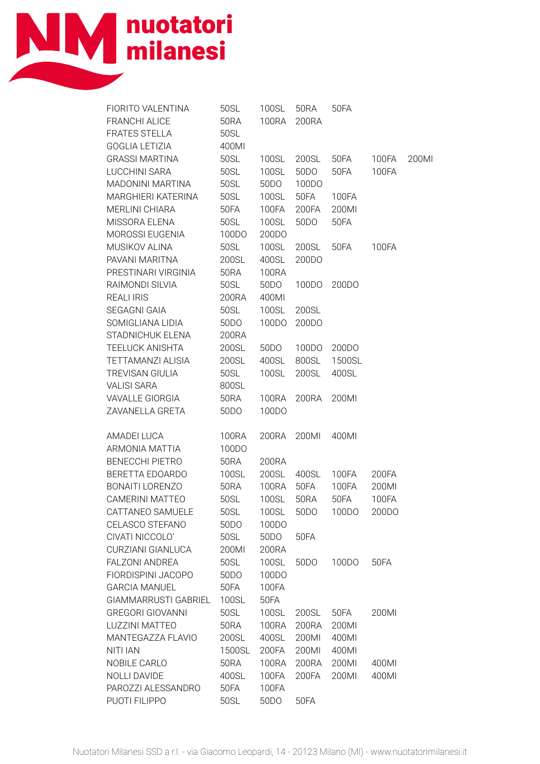

| FIORITO VALENTINA<br>FRANCHI ALICE<br><b>FRATES STELLA</b>                           | 50SL<br>50RA<br>50SL                       | 100SL<br>100RA                          | 50RA<br>200RA                                     | 50FA                            |                                  |       |
|--------------------------------------------------------------------------------------|--------------------------------------------|-----------------------------------------|---------------------------------------------------|---------------------------------|----------------------------------|-------|
| GOGLIA LETIZIA<br><b>GRASSI MARTINA</b><br><b>LUCCHINI SARA</b><br>MADONINI MARTINA  | 400MI<br>50SL<br>50SL<br>50SL              | 100SL<br>100SL<br>50DO                  | 200SL<br>50 <sub>D</sub> O<br>100DO               | 50FA<br>50FA                    | 100FA<br>100FA                   | 200Ml |
| MARGHIERI KATERINA<br>MERLINI CHIARA<br>MISSORA ELENA                                | 50SL<br>50FA<br>50SL                       | 100SL<br>100FA<br>100SL                 | 50FA<br>200FA<br>50DO                             | 100FA<br>200MI<br>50FA          |                                  |       |
| MOROSSI EUGENIA<br>MUSIKOV ALINA<br>PAVANI MARITNA                                   | 100DO<br>50SL<br>200SL                     | 200DO<br>100SL<br>400SL                 | 200SL<br>200DO                                    | 50FA                            | 100FA                            |       |
| PRESTINARI VIRGINIA<br>RAIMONDI SILVIA<br><b>REALI IRIS</b>                          | 50RA<br>50SL<br>200RA                      | <b>100RA</b><br>50DO<br>400MI           | 100DO                                             | 200DO                           |                                  |       |
| SEGAGNI GAIA<br>SOMIGLIANA LIDIA<br>STADNICHUK ELENA                                 | 50SL<br>50 <sub>D</sub> O<br>200RA         | 100SL<br>100DO                          | 200SL<br>200DO                                    |                                 |                                  |       |
| <b>TEELUCK ANISHTA</b><br>TETTAMANZI ALISIA<br>TREVISAN GIULIA                       | 200SL<br>200SL<br>50SL                     | 50 <sub>D</sub> O<br>400SL<br>100SL     | 100DO<br>800SL<br>200SL                           | 200DO<br>1500SL<br>400SL        |                                  |       |
| <b>VALISI SARA</b><br>VAVALLE GIORGIA<br>ZAVANELLA GRETA                             | 800SL<br>50RA<br>50 <sub>D</sub> O         | 100RA<br>100DO                          | 200RA                                             | 200MI                           |                                  |       |
| AMADEI LUCA<br>ARMONIA MATTIA<br><b>BENECCHI PIETRO</b>                              | <b>100RA</b><br>100DO<br><b>50RA</b>       | 200RA<br>200RA                          | 200MI                                             | 400MI                           |                                  |       |
| BERETTA EDOARDO<br><b>BONAITI LORENZO</b><br>CAMERINI MATTEO<br>CATTANEO SAMUELE     | 100SL<br>50RA<br>50SL<br>50SL              | 200SL<br>100RA<br>100SL<br>100SL        | 400SL<br>50FA<br><b>50RA</b><br>50 <sub>D</sub> O | 100FA<br>100FA<br>50FA<br>100DO | 200FA<br>200MI<br>100FA<br>200DO |       |
| CELASCO STEFANO<br>CIVATI NICCOLO'<br>CURZIANI GIANLUCA                              | 50 <sub>D</sub> O<br>50SL<br>200MI         | 100DO<br>50 <sub>D</sub> O<br>200RA     | 50FA                                              |                                 |                                  |       |
| FALZONI ANDREA<br>FIORDISPINI JACOPO<br><b>GARCIA MANUEL</b><br>GIAMMARRUSTI GABRIEL | 50SL<br>50 <sub>D</sub> O<br>50FA<br>100SL | 100SL<br>100DO<br>100FA<br>50FA         | 50 <sub>D</sub> O                                 | 100DO                           | 50FA                             |       |
| <b>GREGORI GIOVANNI</b><br>LUZZINI MATTEO<br>MANTEGAZZA FLAVIO                       | 50SL<br><b>50RA</b><br>200SL               | 100SL<br>100RA<br>400SL                 | 200SL<br>200RA<br>200MI                           | 50FA<br>200MI<br>400MI          | 200MI                            |       |
| <b>NITI IAN</b><br>NOBILE CARLO<br>NOLLI DAVIDE<br>PAROZZI ALESSANDRO                | 1500SL<br><b>50RA</b><br>400SL<br>50FA     | 200FA<br><b>100RA</b><br>100FA<br>100FA | 200MI<br>200RA<br>200FA                           | 400MI<br>200MI<br>200MI         | 400MI<br>400MI                   |       |
| PUOTI FILIPPO                                                                        | 50SL                                       | 50DO                                    | 50FA                                              |                                 |                                  |       |